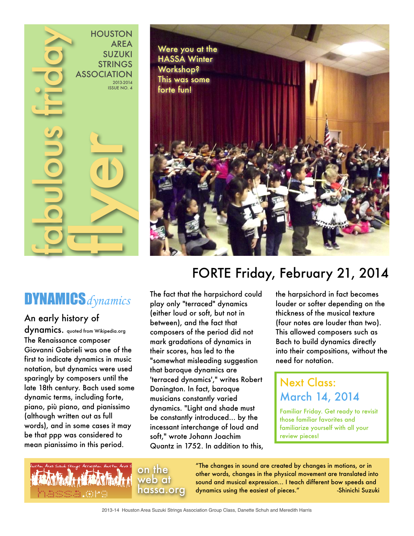

# DYNAMICS*dynamics*

### An early history of

dynamics. quoted from Wikipedia.org The Renaissance composer Giovanni Gabrieli was one of the first to indicate dynamics in music notation, but dynamics were used sparingly by composers until the late 18th century. Bach used some dynamic terms, including forte, piano, più piano, and pianissimo (although written out as full words), and in some cases it may be that ppp was considered to mean pianissimo in this period.



# FORTE Friday, February 21, 2014

The fact that the harpsichord could play only "terraced" dynamics (either loud or soft, but not in between), and the fact that composers of the period did not mark gradations of dynamics in their scores, has led to the "somewhat misleading suggestion that baroque dynamics are 'terraced dynamics'," writes Robert Donington. In fact, baroque musicians constantly varied dynamics. "Light and shade must be constantly introduced... by the incessant interchange of loud and soft," wrote Johann Joachim Quantz in 1752. In addition to this, the harpsichord in fact becomes louder or softer depending on the thickness of the musical texture (four notes are louder than two). This allowed composers such as Bach to build dynamics directly into their compositions, without the need for notation.

## Next Class: March 14, 2014

Familiar Friday. Get ready to revisit those familiar favorites and familiarize yourself with all your review pieces!

on the web at hassa.org

"The changes in sound are created by changes in motions, or in other words, changes in the physical movement are translated into sound and musical expression… I teach different bow speeds and dynamics using the easiest of pieces." -Shinichi Suzuki